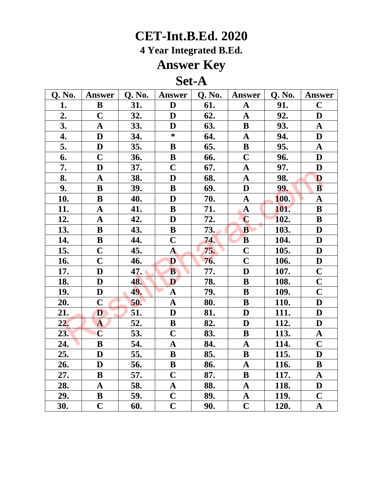**4 Year Integrated B.Ed.**

## **Answer Key**

### **Set-A**

| Q. No. | <b>Answer</b>           | <b>Q. No.</b> | Answer                  | <b>Q. No.</b> | <b>Answer</b>           | <b>Q. No.</b> | <b>Answer</b>           |
|--------|-------------------------|---------------|-------------------------|---------------|-------------------------|---------------|-------------------------|
| 1.     | $\bf{B}$                | 31.           | D                       | 61.           | $\mathbf A$             | 91.           | $\mathbf C$             |
| 2.     | $\mathbf C$             | 32.           | D                       | 62.           | $\mathbf A$             | 92.           | D                       |
| 3.     | $\mathbf A$             | 33.           | D                       | 63.           | ${\bf B}$               | 93.           | $\mathbf A$             |
| 4.     | $\mathbf D$             | 34.           | $\ast$                  | 64.           | $\boldsymbol{\rm{A}}$   | 94.           | $\mathbf D$             |
| 5.     | $\mathbf D$             | 35.           | $\bf{B}$                | 65.           | $\, {\bf B}$            | 95.           | $\mathbf A$             |
| 6.     | $\mathbf C$             | 36.           | B                       | 66.           | $\mathbf C$             | 96.           | D                       |
| 7.     | D                       | 37.           | $\overline{C}$          | 67.           | $\boldsymbol{\rm{A}}$   | 97.           | D                       |
| 8.     | $\mathbf{A}$            | 38.           | D                       | 68.           | $\mathbf A$             | 98.           | D                       |
| 9.     | $\bf{B}$                | 39.           | ${\bf B}$               | 69.           | $\mathbf D$             | 99.           | $\mathbf{B}$            |
| 10.    | $\bf{B}$                | 40.           | D                       | 70.           | $\boldsymbol{\rm{A}}$   | <b>100.</b>   | $\mathbf A$             |
| 11.    | $\mathbf{A}$            | 41.           | $\bf{B}$                | 71.           | $\mathbf{A}$            | 101.          | $\, {\bf B}$            |
| 12.    | $\mathbf A$             | 42.           | D                       | 72.           | $\mathbf C$             | 102.          | B                       |
| 13.    | $\bf{B}$                | 43.           | $\bf{B}$                | 73.           | $\mathbf{B}$            | 103.          | D                       |
| 14.    | $\bf{B}$                | 44.           | $\mathbf C$             | 74.           | $\overline{\mathbf{B}}$ | 104.          | D                       |
| 15.    | $\mathbf C$             | 45.           | $\mathbf{A}$            | 75.           | $\mathbf C$             | 105.          | D                       |
| 16.    | $\overline{\mathbf{C}}$ | 46.           | D                       | 76.           | $\overline{C}$          | 106.          | $\mathbf D$             |
| 17.    | D                       | 47.           | B                       | 77.           | D                       | 107.          | $\mathbf C$             |
| 18.    | D                       | 48.           | D                       | 78.           | $\mathbf B$             | 108.          | $\overline{\mathbf{C}}$ |
| 19.    | $\mathbf D$             | 49.           | $\boldsymbol{\rm{A}}$   | 79.           | $\bf{B}$                | 109.          | $\overline{\mathbf{C}}$ |
| 20.    | $\mathbf C$             | 50.           | $\mathbf A$             | 80.           | $\bf{B}$                | 110.          | $\mathbf D$             |
| 21.    | D                       | 51.           | $\mathbf D$             | 81.           | D                       | 111.          | $\mathbf{D}%$           |
| 22.    | A                       | 52.           | $\bf{B}$                | 82.           | D                       | 112.          | $\mathbf D$             |
| 23.    | $\overline{C}$          | 53.           | $\overline{C}$          | 83.           | $\, {\bf B}$            | 113.          | $\mathbf A$             |
| 24.    | $\bf{B}$                | 54.           | $\mathbf{A}$            | 84.           | $\mathbf A$             | 114.          | $\overline{\mathbf{C}}$ |
| 25.    | $\mathbf D$             | 55.           | $\, {\bf B}$            | 85.           | $\bf{B}$                | 115.          | $\mathbf D$             |
| 26.    | D                       | 56.           | ${\bf B}$               | 86.           | $\mathbf A$             | <u>116.</u>   | $\, {\bf B}$            |
| 27.    | ${\bf B}$               | 57.           | $\overline{C}$          | 87.           | ${\bf B}$               | 117.          | $\mathbf A$             |
| 28.    | $\boldsymbol{\rm{A}}$   | 58.           | ${\bf A}$               | 88.           | $\boldsymbol{\rm{A}}$   | 118.          | $\mathbf D$             |
| 29.    | $\bf{B}$                | 59.           | $\mathbf C$             | 89.           | ${\bf A}$               | 119.          | $\mathbf C$             |
| 30.    | $\overline{\mathbf{C}}$ | 60.           | $\overline{\mathbf{C}}$ | 90.           | $\mathbf C$             | 120.          | $\mathbf A$             |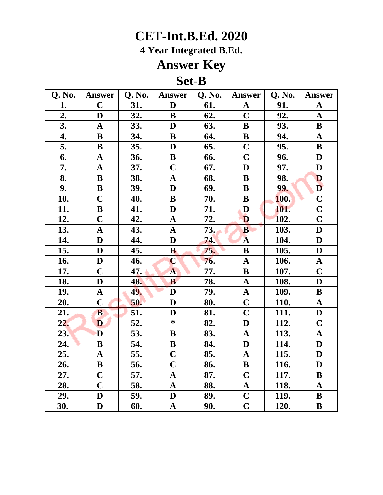**4 Year Integrated B.Ed.**

## **Answer Key**

#### **Set-B**

| Q. No.     | <b>Answer</b>           | <b>Q. No.</b> | <b>Answer</b>           | <b>Q. No.</b> | <b>Answer</b>           | Q. No.      | <b>Answer</b>           |
|------------|-------------------------|---------------|-------------------------|---------------|-------------------------|-------------|-------------------------|
| 1.         | $\mathbf C$             | 31.           | D                       | 61.           | $\mathbf A$             | 91.         | $\mathbf A$             |
| 2.         | D                       | 32.           | B                       | 62.           | $\mathbf C$             | 92.         | ${\bf A}$               |
| 3.         | $\mathbf A$             | 33.           | D                       | 63.           | $\bf{B}$                | 93.         | ${\bf B}$               |
| 4.         | $\mathbf B$             | 34.           | $\bf{B}$                | 64.           | $\, {\bf B}$            | 94.         | $\mathbf A$             |
| 5.         | B                       | 35.           | D                       | 65.           | $\mathbf C$             | 95.         | $\, {\bf B}$            |
| 6.         | ${\bf A}$               | 36.           | $\bf{B}$                | 66.           | $\mathbf C$             | 96.         | D                       |
| 7.         | ${\bf A}$               | 37.           | $\overline{\mathbf{C}}$ | 67.           | D                       | 97.         | ${\bf D}$               |
| 8.         | $\bf{B}$                | 38.           | $\mathbf{A}$            | 68.           | ${\bf B}$               | 98.         | D                       |
| 9.         | $\bf{B}$                | 39.           | D                       | 69.           | $\mathbf B$             | 99.         | $\mathbf{D}$            |
| 10.        | $\mathbf C$             | 40.           | ${\bf B}$               | 70.           | $\bf{B}$                | <b>100.</b> | $\overline{\mathbf{C}}$ |
| 11.        | $\bf{B}$                | 41.           | D                       | 71.           | D                       | 101.        | $\overline{\mathbf{C}}$ |
| 12.        | $\overline{C}$          | 42.           | $\mathbf A$             | 72.           | D                       | <b>102.</b> | $\overline{\mathbf{C}}$ |
| 13.        | $\mathbf{A}$            | 43.           | $\mathbf{A}$            | 73.           | $\mathbf{B}$            | 103.        | $\mathbf D$             |
| 14.        | $\mathbf D$             | 44.           | D                       | 74.           | $\overline{\mathbf{A}}$ | 104.        | $\overline{\mathbf{D}}$ |
| 15.        | $\mathbf D$             | 45.           | $\bf{B}$                | 75.           | ${\bf B}$               | 105.        | ${\bf D}$               |
| 16.        | $\mathbf D$             | 46.           | $\mathbf C$             | 76.           | $\boldsymbol{\rm{A}}$   | 106.        | ${\bf A}$               |
| 17.        | $\overline{\mathbf{C}}$ | 47.           | $\overline{\mathbf{A}}$ | 77.           | $\, {\bf B}$            | 107.        | $\overline{\mathbf{C}}$ |
| 18.        | D                       | 48.           | B                       | 78.           | $\boldsymbol{\rm{A}}$   | 108.        | D                       |
| <u>19.</u> | $\mathbf A$             | 49.           | D                       | 79.           | $\mathbf A$             | 109.        | $\overline{\mathbf{B}}$ |
| 20.        | $\mathbf C$             | 50.           | D                       | 80.           | $\mathbf C$             | 110.        | $\boldsymbol{\rm{A}}$   |
| 21.        | $\bf{B}$                | 51.           | D                       | 81.           | $\overline{\mathbf{C}}$ | 111.        | $\mathbf D$             |
| 22.        | D                       | 52.           | $*$                     | 82.           | $\mathbf D$             | 112.        | $\mathbf C$             |
| 23.        | D                       | 53.           | $\bf{B}$                | 83.           | $\mathbf A$             | 113.        | $\mathbf A$             |
| 24.        | $\bf{B}$                | 54.           | $\bf{B}$                | 84.           | $\mathbf D$             | 114.        | $\mathbf{D}$            |
| 25.        | $\mathbf A$             | 55.           | $\mathbf C$             | 85.           | $\mathbf A$             | 115.        | D                       |
| 26.        | $\bf{B}$                | 56.           | $\overline{\mathbf{C}}$ | 86.           | $\bf{B}$                | 116.        | $\mathbf{D}%$           |
| 27.        | $\overline{C}$          | 57.           | $\mathbf A$             | 87.           | $\mathbf C$             | 117.        | $\, {\bf B}$            |
| 28.        | $\overline{C}$          | 58.           | $\mathbf A$             | 88.           | $\mathbf A$             | 118.        | $\mathbf A$             |
| 29.        | D                       | 59.           | D                       | 89.           | $\mathbf C$             | 119.        | $\bf{B}$                |
| 30.        | D                       | 60.           | $\mathbf A$             | 90.           | $\overline{\mathbf{C}}$ | 120.        | $\bf{B}$                |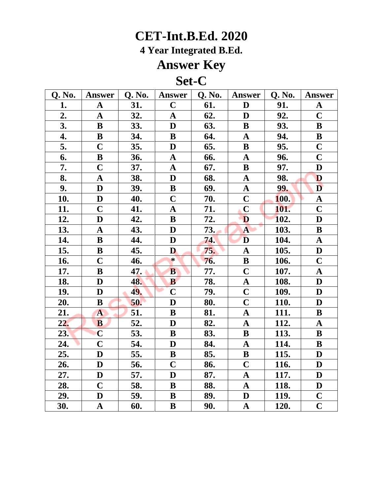**4 Year Integrated B.Ed.**

## **Answer Key**

### **Set-C**

| Q. No. | Answer                  | Q. No. | <b>Answer</b>  | Q. No. | <b>Answer</b>           | Q. No.      | Answer                             |
|--------|-------------------------|--------|----------------|--------|-------------------------|-------------|------------------------------------|
| 1.     | $\mathbf{A}$            | 31.    | $\mathbf C$    | 61.    | D                       | 91.         | $\mathbf A$                        |
| 2.     | $\mathbf A$             | 32.    | $\mathbf{A}$   | 62.    | D                       | 92.         | $\mathbf C$                        |
| 3.     | $\bf{B}$                | 33.    | D              | 63.    | $\bf{B}$                | 93.         | ${\bf B}$                          |
| 4.     | $\, {\bf B}$            | 34.    | ${\bf B}$      | 64.    | $\boldsymbol{\rm{A}}$   | 94.         | $\, {\bf B}$                       |
| 5.     | $\overline{C}$          | 35.    | D              | 65.    | $\bf{B}$                | 95.         | $\overline{\mathbf{C}}$            |
| 6.     | $\bf{B}$                | 36.    | $\mathbf A$    | 66.    | $\mathbf{A}$            | 96.         | $\overline{\mathbf{C}}$            |
| 7.     | $\overline{\mathbf{C}}$ | 37.    | $\mathbf A$    | 67.    | $\, {\bf B}$            | 97.         | ${\bf D}$                          |
| 8.     | $\mathbf A$             | 38.    | D              | 68.    | $\boldsymbol{\rm{A}}$   | 98.         | D                                  |
| 9.     | $\mathbf D$             | 39.    | $\, {\bf B}$   | 69.    | $\mathbf A$             | 99.         | $\mathbf{D}$                       |
| 10.    | $\mathbf D$             | 40.    | $\mathbf C$    | 70.    | $\mathbf C$             | <b>100.</b> | $\boldsymbol{\rm{A}}$              |
| 11.    | $\mathbf C$             | 41.    | $\mathbf A$    | 71.    | $\mathbf C$             | 101.        | $\overline{C}$                     |
| 12.    | D                       | 42.    | $\bf{B}$       | 72.    | D                       | 102.        | D                                  |
| 13.    | $\mathbf A$             | 43.    | D              | 73.    | $\mathbf{A}$            | 103.        | $\bf{B}$                           |
| 14.    | $\mathbf B$             | 44.    | D              | 74.    | D                       | 104.        | $\boldsymbol{\rm{A}}$              |
| 15.    | $\bf{B}$                | 45.    | D              | 75.    | $\mathbf A$             | 105.        | $\mathbf D$                        |
| 16.    | $\mathbf C$             | 46.    | $\ast$         | 76.    | $\bf{B}$                | 106.        | $\overline{C}$                     |
| 17.    | $\bf{B}$                | 47.    | $\bf{B}$       | 77.    | $\mathbf C$             | 107.        | $\mathbf{A}$                       |
| 18.    | D                       | 48.    | B              | 78.    | $\mathbf A$             | <b>108.</b> | D                                  |
| 19.    | $\mathbf{D}$            | 49.    | $\overline{C}$ | 79.    | $\overline{\mathbf{C}}$ | <b>109.</b> | $\mathbf D$                        |
| 20.    | ${\bf B}$               | 50.    | D              | 80.    | $\overline{\mathbf{C}}$ | 110.        | D                                  |
| 21.    | $\mathbf{A}$            | 51.    | $\bf{B}$       | 81.    | $\mathbf A$             | 111.        | $\bf{B}$                           |
| 22.    | <b>B</b>                | 52.    | D              | 82.    | $\mathbf A$             | 112.        | $\mathbf A$                        |
| 23.    | $\overline{C}$          | 53.    | $\bf{B}$       | 83.    | $\bf{B}$                | 113.        | $\mathbf B$                        |
| 24.    | $\overline{\mathbf{C}}$ | 54.    | D              | 84.    | $\mathbf{A}$            | 114.        | $\, {\bf B}$                       |
| 25.    | $\mathbf D$             | 55.    | ${\bf B}$      | 85.    | ${\bf B}$               | 115.        | $\mathbf D$                        |
| 26.    | D                       | 56.    | $\mathbf C$    | 86.    | $\mathbf C$             | 116.        | D                                  |
| 27.    | $\mathbf D$             | 57.    | $\mathbf{D}$   | 87.    | $\mathbf A$             | 117.        | $\mathbf D$                        |
| 28.    | $\mathbf C$             | 58.    | $\bf{B}$       | 88.    | ${\bf A}$               | 118.        | $\mathbf{D}$                       |
| 29.    | $\mathbf D$             | 59.    | $\mathbf B$    | 89.    | $\mathbf{D}$            | 119.        | $\overline{\mathbf{C}}$            |
| 30.    | ${\bf A}$               | 60.    | $\bf{B}$       | 90.    | $\mathbf{A}$            | 120.        | $\overline{\overline{\mathbf{C}}}$ |